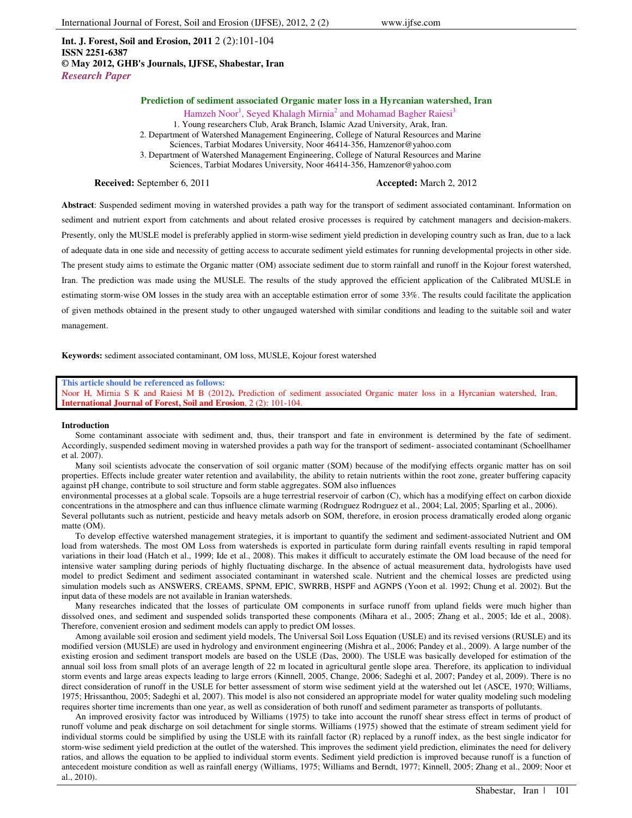**Int. J. Forest, Soil and Erosion, 2011** 2 (2):101-104 **ISSN 2251-6387 © May 2012, GHB's Journals, IJFSE, Shabestar, Iran** *Research Paper*

# **Prediction of sediment associated Organic mater loss in a Hyrcanian watershed, Iran**

Hamzeh Noor<sup>1</sup>, Seyed Khalagh Mirnia<sup>2</sup> and Mohamad Bagher Raiesi<sup>3</sup> 1. Young researchers Club, Arak Branch, Islamic Azad University, Arak, Iran. 2. Department of Watershed Management Engineering, College of Natural Resources and Marine Sciences, Tarbiat Modares University, Noor 46414-356, Hamzenor@yahoo.com 3. Department of Watershed Management Engineering, College of Natural Resources and Marine Sciences, Tarbiat Modares University, Noor 46414-356, Hamzenor@yahoo.com

**Received:** September 6, 2011 **Accepted:** March 2, 2012

**Abstract**: Suspended sediment moving in watershed provides a path way for the transport of sediment associated contaminant. Information on sediment and nutrient export from catchments and about related erosive processes is required by catchment managers and decision-makers. Presently, only the MUSLE model is preferably applied in storm-wise sediment yield prediction in developing country such as Iran, due to a lack of adequate data in one side and necessity of getting access to accurate sediment yield estimates for running developmental projects in other side. The present study aims to estimate the Organic matter (OM) associate sediment due to storm rainfall and runoff in the Kojour forest watershed, Iran. The prediction was made using the MUSLE. The results of the study approved the efficient application of the Calibrated MUSLE in estimating storm-wise OM losses in the study area with an acceptable estimation error of some 33%. The results could facilitate the application of given methods obtained in the present study to other ungauged watershed with similar conditions and leading to the suitable soil and water management.

**Keywords:** sediment associated contaminant, OM loss, MUSLE, Kojour forest watershed

#### **This article should be referenced as follows:**

Noor H, Mirnia S K and Raiesi M B (2012**).** Prediction of sediment associated Organic mater loss in a Hyrcanian watershed, Iran, **International Journal of Forest, Soil and Erosion**, 2 (2): 101-104.

### **Introduction**

Some contaminant associate with sediment and, thus, their transport and fate in environment is determined by the fate of sediment. Accordingly, suspended sediment moving in watershed provides a path way for the transport of sediment- associated contaminant (Schoellhamer et al. 2007).

Many soil scientists advocate the conservation of soil organic matter (SOM) because of the modifying effects organic matter has on soil properties. Effects include greater water retention and availability, the ability to retain nutrients within the root zone, greater buffering capacity against pH change, contribute to soil structure and form stable aggregates. SOM also influences

environmental processes at a global scale. Topsoils are a huge terrestrial reservoir of carbon (C), which has a modifying effect on carbon dioxide concentrations in the atmosphere and can thus influence climate warming (Rodrıguez Rodrıguez et al., 2004; Lal, 2005; Sparling et al., 2006).

Several pollutants such as nutrient, pesticide and heavy metals adsorb on SOM, therefore, in erosion process dramatically eroded along organic matte (OM).

To develop effective watershed management strategies, it is important to quantify the sediment and sediment-associated Nutrient and OM load from watersheds. The most OM Loss from watersheds is exported in particulate form during rainfall events resulting in rapid temporal variations in their load (Hatch et al., 1999; Ide et al., 2008). This makes it difficult to accurately estimate the OM load because of the need for intensive water sampling during periods of highly fluctuating discharge. In the absence of actual measurement data, hydrologists have used model to predict Sediment and sediment associated contaminant in watershed scale. Nutrient and the chemical losses are predicted using simulation models such as ANSWERS, CREAMS, SPNM, EPIC, SWRRB, HSPF and AGNPS (Yoon et al. 1992; Chung et al. 2002). But the input data of these models are not available in Iranian watersheds.

Many researches indicated that the losses of particulate OM components in surface runoff from upland fields were much higher than dissolved ones, and sediment and suspended solids transported these components (Mihara et al., 2005; Zhang et al., 2005; Ide et al., 2008). Therefore, convenient erosion and sediment models can apply to predict OM losses.

Among available soil erosion and sediment yield models, The Universal Soil Loss Equation (USLE) and its revised versions (RUSLE) and its modified version (MUSLE) are used in hydrology and environment engineering (Mishra et al., 2006; Pandey et al., 2009). A large number of the existing erosion and sediment transport models are based on the USLE (Das, 2000). The USLE was basically developed for estimation of the annual soil loss from small plots of an average length of 22 m located in agricultural gentle slope area. Therefore, its application to individual storm events and large areas expects leading to large errors (Kinnell, 2005, Change, 2006; Sadeghi et al, 2007; Pandey et al, 2009). There is no direct consideration of runoff in the USLE for better assessment of storm wise sediment yield at the watershed out let (ASCE, 1970; Williams, 1975; Hrissanthou, 2005; Sadeghi et al, 2007). This model is also not considered an appropriate model for water quality modeling such modeling requires shorter time increments than one year, as well as consideration of both runoff and sediment parameter as transports of pollutants.

An improved erosivity factor was introduced by Williams (1975) to take into account the runoff shear stress effect in terms of product of runoff volume and peak discharge on soil detachment for single storms. Williams (1975) showed that the estimate of stream sediment yield for individual storms could be simplified by using the USLE with its rainfall factor (R) replaced by a runoff index, as the best single indicator for storm-wise sediment yield prediction at the outlet of the watershed. This improves the sediment yield prediction, eliminates the need for delivery ratios, and allows the equation to be applied to individual storm events. Sediment yield prediction is improved because runoff is a function of antecedent moisture condition as well as rainfall energy (Williams, 1975; Williams and Berndt, 1977; Kinnell, 2005; Zhang et al., 2009; Noor et al., 2010).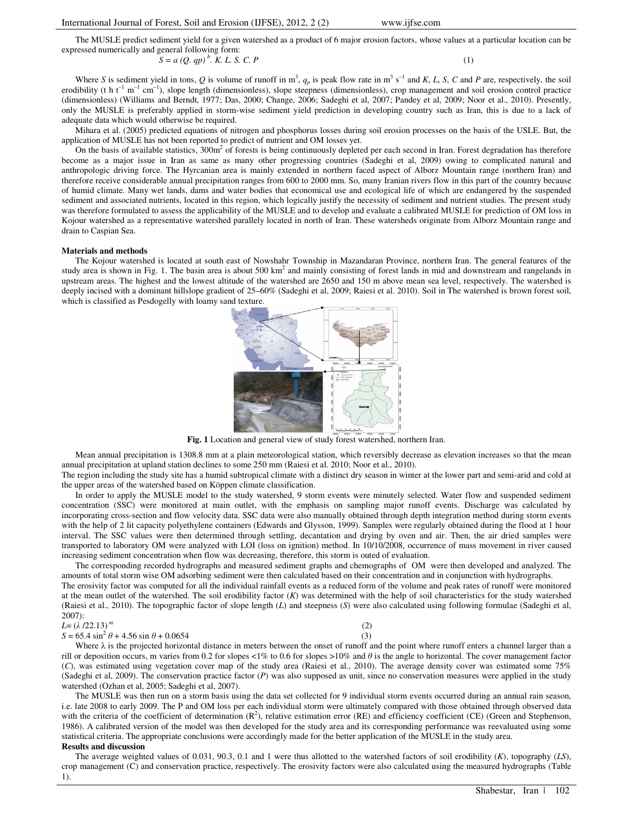The MUSLE predict sediment yield for a given watershed as a product of 6 major erosion factors, whose values at a particular location can be expressed numerically and general following form:

 $S = a (Q, qp)^{b}$ . *K. L. S. C. P* (1)

Where *S* is sediment yield in tons, *Q* is volume of runoff in m<sup>3</sup>,  $q_p$  is peak flow rate in m<sup>3</sup> s<sup>-1</sup> and *K*, *L*, *S*, *C* and *P* are, respectively, the soil erodibility (t h  $t^{-1}$  m<sup>-1</sup> cm<sup>-1</sup>), slope length (dimensionless), slope steepness (dimensionless), crop management and soil erosion control practice (dimensionless) (Williams and Berndt, 1977; Das, 2000; Change, 2006; Sadeghi et al, 2007; Pandey et al, 2009; Noor et al., 2010). Presently, only the MUSLE is preferably applied in storm-wise sediment yield prediction in developing country such as Iran, this is due to a lack of adequate data which would otherwise be required.

Mihara et al. (2005) predicted equations of nitrogen and phosphorus losses during soil erosion processes on the basis of the USLE. But, the application of MUSLE has not been reported to predict of nutrient and OM losses yet.

On the basis of available statistics,  $300m<sup>2</sup>$  of forests is being continuously depleted per each second in Iran. Forest degradation has therefore become as a major issue in Iran as same as many other progressing countries (Sadeghi et al, 2009) owing to complicated natural and anthropologic driving force. The Hyrcanian area is mainly extended in northern faced aspect of Alborz Mountain range (northern Iran) and therefore receive considerable annual precipitation ranges from 600 to 2000 mm. So, many Iranian rivers flow in this part of the country because of humid climate. Many wet lands, dams and water bodies that economical use and ecological life of which are endangered by the suspended sediment and associated nutrients, located in this region, which logically justify the necessity of sediment and nutrient studies. The present study was therefore formulated to assess the applicability of the MUSLE and to develop and evaluate a calibrated MUSLE for prediction of OM loss in Kojour watershed as a representative watershed parallely located in north of Iran. These watersheds originate from Alborz Mountain range and drain to Caspian Sea.

#### **Materials and methods**

The Kojour watershed is located at south east of Nowshahr Township in Mazandaran Province, northern Iran. The general features of the study area is shown in Fig. 1. The basin area is about 500 km<sup>2</sup> and mainly consisting of forest lands in mid and downstream and rangelands in upstream areas. The highest and the lowest altitude of the watershed are 2650 and 150 m above mean sea level, respectively. The watershed is deeply incised with a dominant hillslope gradient of 25–60% (Sadeghi et al, 2009; Raiesi et al. 2010). Soil in The watershed is brown forest soil, which is classified as Pesdogelly with loamy sand texture.



**Fig. 1** Location and general view of study forest watershed, northern Iran.

Mean annual precipitation is 1308.8 mm at a plain meteorological station, which reversibly decrease as elevation increases so that the mean annual precipitation at upland station declines to some 250 mm (Raiesi et al. 2010; Noor et al., 2010).

The region including the study site has a humid subtropical climate with a distinct dry season in winter at the lower part and semi-arid and cold at the upper areas of the watershed based on Köppen climate classification.

In order to apply the MUSLE model to the study watershed, 9 storm events were minutely selected. Water flow and suspended sediment concentration (SSC) were monitored at main outlet, with the emphasis on sampling major runoff events. Discharge was calculated by incorporating cross-section and flow velocity data. SSC data were also manually obtained through depth integration method during storm events with the help of 2 lit capacity polyethylene containers (Edwards and Glysson, 1999). Samples were regularly obtained during the flood at 1 hour interval. The SSC values were then determined through settling, decantation and drying by oven and air. Then, the air dried samples were transported to laboratory OM were analyzed with LOI (loss on ignition) method. In 10/10/2008, occurrence of mass movement in river caused increasing sediment concentration when flow was decreasing, therefore, this storm is outed of evaluation.

The corresponding recorded hydrographs and measured sediment graphs and chemographs of OM were then developed and analyzed. The amounts of total storm wise OM adsorbing sediment were then calculated based on their concentration and in conjunction with hydrographs. The erosivity factor was computed for all the individual rainfall events as a reduced form of the volume and peak rates of runoff were monitored at the mean outlet of the watershed. The soil erodibility factor (*K*) was determined with the help of soil characteristics for the study watershed (Raiesi et al., 2010). The topographic factor of slope length (*L*) and steepness (*S*) were also calculated using following formulae (Sadeghi et al, 2007):

# *L*= (λ /22.13)*<sup>m</sup>*

## $S = 65.4 \sin^2 \theta + 4.56 \sin \theta + 0.0654$  (3)



Where  $\lambda$  is the projected horizontal distance in meters between the onset of runoff and the point where runoff enters a channel larger than a rill or deposition occurs, m varies from 0.2 for slopes <1% to 0.6 for slopes >10% and  $\theta$  is the angle to horizontal. The cover management factor (*C*), was estimated using vegetation cover map of the study area (Raiesi et al., 2010). The average density cover was estimated some 75% (Sadeghi et al, 2009). The conservation practice factor (*P*) was also supposed as unit, since no conservation measures were applied in the study watershed (Ozhan et al, 2005; Sadeghi et al, 2007).

The MUSLE was then run on a storm basis using the data set collected for 9 individual storm events occurred during an annual rain season, i.e. late 2008 to early 2009. The P and OM loss per each individual storm were ultimately compared with those obtained through observed data with the criteria of the coefficient of determination  $(R^2)$ , relative estimation error  $(RE)$  and efficiency coefficient (CE) (Green and Stephenson, 1986). A calibrated version of the model was then developed for the study area and its corresponding performance was reevaluated using some statistical criteria. The appropriate conclusions were accordingly made for the better application of the MUSLE in the study area. **Results and discussion** 

The average weighted values of 0.031, 90.3, 0.1 and 1 were thus allotted to the watershed factors of soil erodibility (*K*), topography (*LS*), crop management (C) and conservation practice, respectively. The erosivity factors were also calculated using the measured hydrographs (Table 1).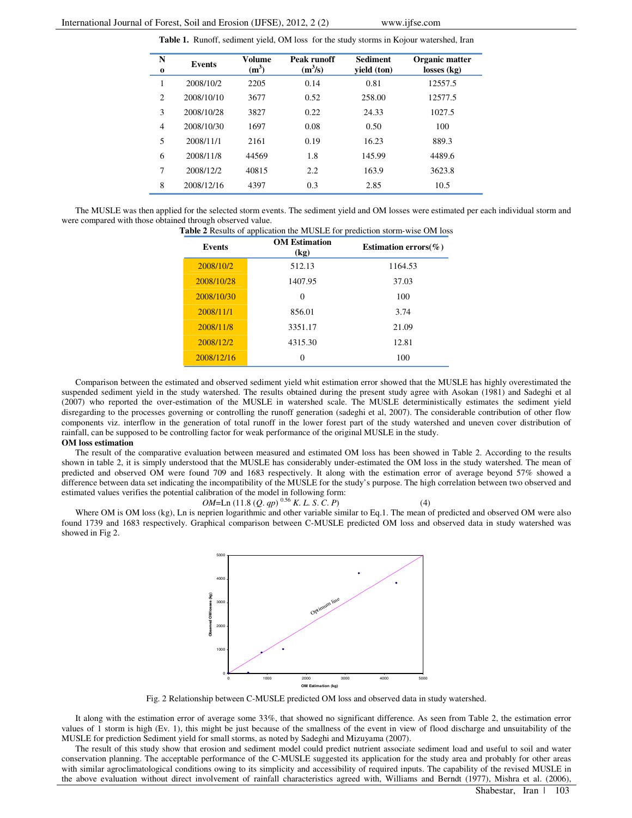**Table 1.** Runoff, sediment yield, OM loss for the study storms in Kojour watershed, Iran

| N<br>0 | <b>Events</b> | Volume<br>(m <sup>3</sup> ) | Peak runoff<br>$(m^3/s)$ | <b>Sediment</b><br>yield (ton) | Organic matter<br>losses (kg) |
|--------|---------------|-----------------------------|--------------------------|--------------------------------|-------------------------------|
| 1      | 2008/10/2     | 2205                        | 0.14                     | 0.81                           | 12557.5                       |
| 2      | 2008/10/10    | 3677                        | 0.52                     | 258.00                         | 12577.5                       |
| 3      | 2008/10/28    | 3827                        | 0.22                     | 24.33                          | 1027.5                        |
| 4      | 2008/10/30    | 1697                        | 0.08                     | 0.50                           | 100                           |
| 5      | 2008/11/1     | 2161                        | 0.19                     | 16.23                          | 889.3                         |
| 6      | 2008/11/8     | 44569                       | 1.8                      | 145.99                         | 4489.6                        |
| 7      | 2008/12/2     | 40815                       | 2.2                      | 163.9                          | 3623.8                        |
| 8      | 2008/12/16    | 4397                        | 0.3                      | 2.85                           | 10.5                          |

The MUSLE was then applied for the selected storm events. The sediment yield and OM losses were estimated per each individual storm and were compared with those obtained through observed value.<br>Table 2 Results of application n the MUSLE for prediction storm-wise OM loss

| <b>Events</b> | <b>OM</b> Estimation<br>(kg) | Estimation errors(%) |
|---------------|------------------------------|----------------------|
| 2008/10/2     | 512.13                       | 1164.53              |
| 2008/10/28    | 1407.95                      | 37.03                |
| 2008/10/30    | $\Omega$                     | 100                  |
| 2008/11/1     | 856.01                       | 3.74                 |
| 2008/11/8     | 3351.17                      | 21.09                |
| 2008/12/2     | 4315.30                      | 12.81                |
| 2008/12/16    | 0                            | 100                  |

Comparison between the estimated and observed sediment yield whit estimation error showed that the MUSLE has highly overestimated the suspended sediment yield in the study watershed. The results obtained during the present study agree with Asokan (1981) and Sadeghi et al (2007) who reported the over-estimation of the MUSLE in watershed scale. The MUSLE deterministically estimates the sediment yield disregarding to the processes governing or controlling the runoff generation (sadeghi et al, 2007). The considerable contribution of other flow components viz. interflow in the generation of total runoff in the lower forest part of the study watershed and uneven cover distribution of rainfall, can be supposed to be controlling factor for weak performance of the original MUSLE in the study.

**OM loss estimation**  The result of the comparative evaluation between measured and estimated OM loss has been showed in Table 2. According to the results

shown in table 2, it is simply understood that the MUSLE has considerably under-estimated the OM loss in the study watershed. The mean of predicted and observed OM were found 709 and 1683 respectively. It along with the estimation error of average beyond 57% showed a difference between data set indicating the incompatibility of the MUSLE for the study's purpose. The high correlation between two observed and estimated values verifies the potential calibration of the model in following form:

 $OM = \text{Ln}(11.8 (Q. qp)^{0.56} K. L. S. C. P)$  (4)

Where OM is OM loss (kg), Ln is neprien logarithmic and other variable similar to Eq.1. The mean of predicted and observed OM were also found 1739 and 1683 respectively. Graphical comparison between C-MUSLE predicted OM loss and observed data in study watershed was showed in Fig 2.



Fig. 2 Relationship between C-MUSLE predicted OM loss and observed data in study watershed.

It along with the estimation error of average some 33%, that showed no significant difference. As seen from Table 2, the estimation error values of 1 storm is high (Ev. 1), this might be just because of the smallness of the event in view of flood discharge and unsuitability of the MUSLE for prediction Sediment yield for small storms, as noted by Sadeghi and Mizuyama (2007).

The result of this study show that erosion and sediment model could predict nutrient associate sediment load and useful to soil and water conservation planning. The acceptable performance of the C-MUSLE suggested its application for the study area and probably for other areas with similar agroclimatological conditions owing to its simplicity and accessibility of required inputs. The capability of the revised MUSLE in the above evaluation without direct involvement of rainfall characteristics agreed with, Williams and Berndt (1977), Mishra et al. (2006),